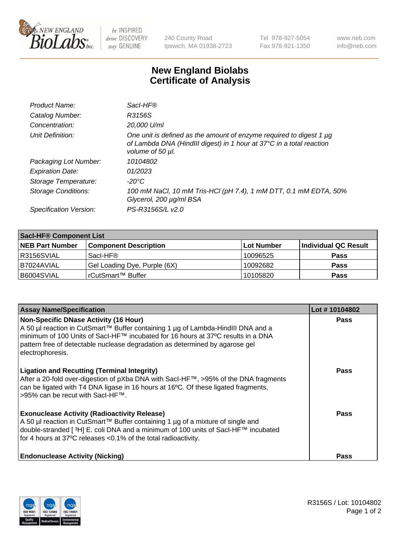

 $be$  INSPIRED drive DISCOVERY stay GENUINE

240 County Road Ipswich, MA 01938-2723 Tel 978-927-5054 Fax 978-921-1350 www.neb.com info@neb.com

## **New England Biolabs Certificate of Analysis**

| Product Name:              | Sacl-HF®                                                                                                                                                        |
|----------------------------|-----------------------------------------------------------------------------------------------------------------------------------------------------------------|
| Catalog Number:            | R3156S                                                                                                                                                          |
| Concentration:             | 20,000 U/ml                                                                                                                                                     |
| Unit Definition:           | One unit is defined as the amount of enzyme required to digest 1 µg<br>of Lambda DNA (HindIII digest) in 1 hour at 37°C in a total reaction<br>volume of 50 µl. |
| Packaging Lot Number:      | 10104802                                                                                                                                                        |
| <b>Expiration Date:</b>    | 01/2023                                                                                                                                                         |
| Storage Temperature:       | -20°C                                                                                                                                                           |
| <b>Storage Conditions:</b> | 100 mM NaCl, 10 mM Tris-HCl (pH 7.4), 1 mM DTT, 0.1 mM EDTA, 50%<br>Glycerol, 200 µg/ml BSA                                                                     |
| Specification Version:     | PS-R3156S/L v2.0                                                                                                                                                |

| <b>Saci-HF® Component List</b> |                              |            |                      |  |  |
|--------------------------------|------------------------------|------------|----------------------|--|--|
| <b>NEB Part Number</b>         | <b>Component Description</b> | Lot Number | Individual QC Result |  |  |
| R3156SVIAL                     | Sacl-HF®                     | 10096525   | <b>Pass</b>          |  |  |
| I B7024AVIAL                   | Gel Loading Dye, Purple (6X) | 10092682   | <b>Pass</b>          |  |  |
| B6004SVIAL                     | l rCutSmart™ Buffer_         | 10105820   | <b>Pass</b>          |  |  |

| <b>Assay Name/Specification</b>                                                                                                                                                                                                                                                                                          | Lot #10104802 |
|--------------------------------------------------------------------------------------------------------------------------------------------------------------------------------------------------------------------------------------------------------------------------------------------------------------------------|---------------|
| <b>Non-Specific DNase Activity (16 Hour)</b><br>A 50 µl reaction in CutSmart™ Buffer containing 1 µg of Lambda-HindIII DNA and a<br>minimum of 100 Units of Sacl-HF™ incubated for 16 hours at 37°C results in a DNA<br>pattern free of detectable nuclease degradation as determined by agarose gel<br>electrophoresis. | <b>Pass</b>   |
| <b>Ligation and Recutting (Terminal Integrity)</b><br>After a 20-fold over-digestion of pXba DNA with SacI-HF™, >95% of the DNA fragments<br>can be ligated with T4 DNA ligase in 16 hours at 16°C. Of these ligated fragments,<br>>95% can be recut with SacI-HF™.                                                      | <b>Pass</b>   |
| <b>Exonuclease Activity (Radioactivity Release)</b><br>A 50 µl reaction in CutSmart™ Buffer containing 1 µg of a mixture of single and<br>double-stranded [3H] E. coli DNA and a minimum of 100 units of SacI-HF™ incubated<br>for 4 hours at 37°C releases <0.1% of the total radioactivity.                            | Pass          |
| <b>Endonuclease Activity (Nicking)</b>                                                                                                                                                                                                                                                                                   | <b>Pass</b>   |